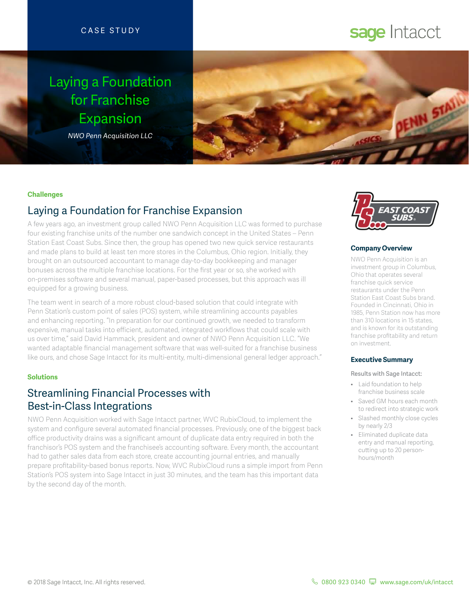# CASE STUDY

# Laying a Foundation for Franchise Expansion

*NWO Penn Acquisition LLC*



### **Challenges**

# Laying a Foundation for Franchise Expansion

A few years ago, an investment group called NWO Penn Acquisition LLC was formed to purchase four existing franchise units of the number one sandwich concept in the United States – Penn Station East Coast Subs. Since then, the group has opened two new quick service restaurants and made plans to build at least ten more stores in the Columbus, Ohio region. Initially, they brought on an outsourced accountant to manage day-to-day bookkeeping and manager bonuses across the multiple franchise locations. For the first year or so, she worked with on-premises software and several manual, paper-based processes, but this approach was ill equipped for a growing business.

The team went in search of a more robust cloud-based solution that could integrate with Penn Station's custom point of sales (POS) system, while streamlining accounts payables and enhancing reporting. "In preparation for our continued growth, we needed to transform expensive, manual tasks into efficient, automated, integrated workflows that could scale with us over time," said David Hammack, president and owner of NWO Penn Acquisition LLC. "We wanted adaptable financial management software that was well-suited for a franchise business like ours, and chose Sage Intacct for its multi-entity, multi-dimensional general ledger approach."

### **Solutions**

# Streamlining Financial Processes with Best-in-Class Integrations

NWO Penn Acquisition worked with Sage Intacct partner, WVC RubixCloud, to implement the system and configure several automated financial processes. Previously, one of the biggest back office productivity drains was a significant amount of duplicate data entry required in both the franchisor's POS system and the franchisee's accounting software. Every month, the accountant had to gather sales data from each store, create accounting journal entries, and manually prepare profitability-based bonus reports. Now, WVC RubixCloud runs a simple import from Penn Station's POS system into Sage Intacct in just 30 minutes, and the team has this important data by the second day of the month.



sage Intacct

#### **Company Overview**

NWO Penn Acquisition is an investment group in Columbus. Ohio that operates several franchise quick service restaurants under the Penn Station East Coast Subs brand. Founded in Cincinnati, Ohio in 1985, Penn Station now has more than 310 locations in 15 states, and is known for its outstanding franchise profitability and return on investment.

#### **Executive Summary**

#### Results with Sage Intacct:

- Laid foundation to help franchise business scale
- Saved GM hours each month to redirect into strategic work
- Slashed monthly close cycles by nearly 2/3
- Eliminated duplicate data entry and manual reporting, cutting up to 20 personhours/month